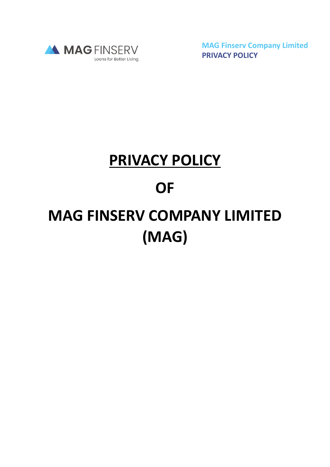

**MAG Finserv Company Limited PRIVACY POLICY**

# **PRIVACY POLICY**

## **OF**

# **MAG FINSERV COMPANY LIMITED (MAG)**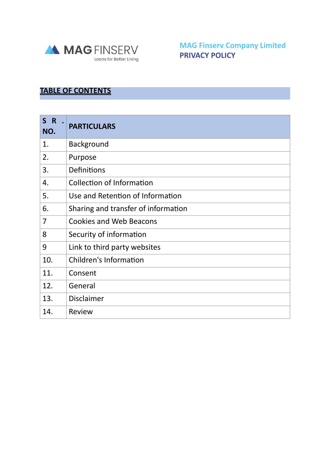

**MAG Finserv Company Limited PRIVACY POLICY**

### **TABLE OF CONTENTS**

| S R<br>NO. | <b>PARTICULARS</b>                  |
|------------|-------------------------------------|
| 1.         | <b>Background</b>                   |
| 2.         | Purpose                             |
| 3.         | Definitions                         |
| 4.         | <b>Collection of Information</b>    |
| 5.         | Use and Retention of Information    |
| 6.         | Sharing and transfer of information |
| 7          | <b>Cookies and Web Beacons</b>      |
| 8          | Security of information             |
| 9          | Link to third party websites        |
| 10.        | <b>Children's Information</b>       |
| 11.        | Consent                             |
| 12.        | General                             |
| 13.        | <b>Disclaimer</b>                   |
| 14.        | Review                              |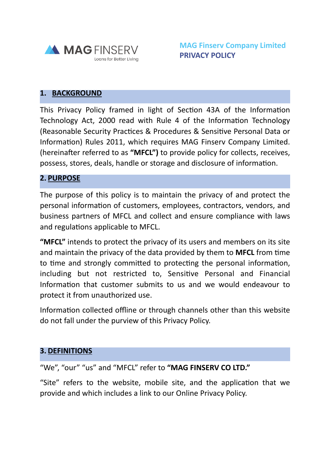

#### **1. BACKGROUND**

This Privacy Policy framed in light of Section 43A of the Information Technology Act, 2000 read with Rule 4 of the Information Technology (Reasonable Security Practices & Procedures & Sensitive Personal Data or Information) Rules 2011, which requires MAG Finserv Company Limited. (hereinafter referred to as **"MFCL")** to provide policy for collects, receives, possess, stores, deals, handle or storage and disclosure of information.

#### **2. PURPOSE**

The purpose of this policy is to maintain the privacy of and protect the personal information of customers, employees, contractors, vendors, and business partners of MFCL and collect and ensure compliance with laws and regulations applicable to MFCL.

**"MFCL"** intends to protect the privacy of its users and members on its site and maintain the privacy of the data provided by them to **MFCL** from time to time and strongly committed to protecting the personal information, including but not restricted to, Sensitive Personal and Financial Information that customer submits to us and we would endeavour to protect it from unauthorized use.

Information collected offline or through channels other than this website do not fall under the purview of this Privacy Policy.

#### **3. DEFINITIONS**

#### "We", "our" "us" and "MFCL" refer to **"MAG FINSERV CO LTD."**

"Site" refers to the website, mobile site, and the application that we provide and which includes a link to our Online Privacy Policy.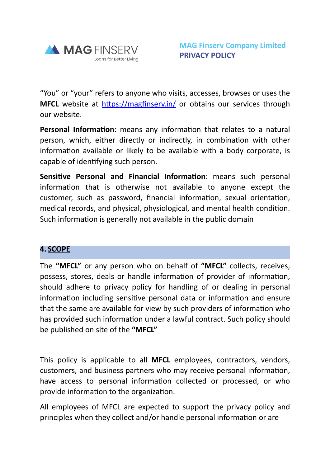

"You" or "your" refers to anyone who visits, accesses, browses or uses the **MFCL** website at <https://magfinserv.in/> or obtains our services through our website.

**Personal Information**: means any information that relates to a natural person, which, either directly or indirectly, in combination with other information available or likely to be available with a body corporate, is capable of identifying such person.

**Sensitive Personal and Financial Information**: means such personal information that is otherwise not available to anyone except the customer, such as password, financial information, sexual orientation, medical records, and physical, physiological, and mental health condition. Such information is generally not available in the public domain

#### **4. SCOPE**

The **"MFCL"** or any person who on behalf of **"MFCL"** collects, receives, possess, stores, deals or handle information of provider of information, should adhere to privacy policy for handling of or dealing in personal information including sensitive personal data or information and ensure that the same are available for view by such providers of information who has provided such information under a lawful contract. Such policy should be published on site of the **"MFCL"**

This policy is applicable to all **MFCL** employees, contractors, vendors, customers, and business partners who may receive personal information, have access to personal information collected or processed, or who provide information to the organization.

All employees of MFCL are expected to support the privacy policy and principles when they collect and/or handle personal information or are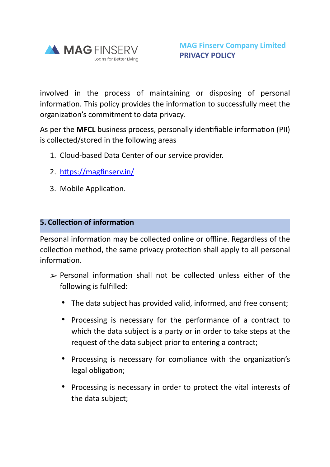

involved in the process of maintaining or disposing of personal information. This policy provides the information to successfully meet the organization's commitment to data privacy.

As per the **MFCL** business process, personally identifiable information (PII) is collected/stored in the following areas

- 1. Cloud-based Data Center of our service provider.
- 2. <https://magfinserv.in/>
- 3. Mobile Application.

#### **5. Collection of information**

Personal information may be collected online or offline. Regardless of the collection method, the same privacy protection shall apply to all personal information.

- $\triangleright$  Personal information shall not be collected unless either of the following is fulfilled:
	- The data subject has provided valid, informed, and free consent;
	- Processing is necessary for the performance of a contract to which the data subject is a party or in order to take steps at the request of the data subject prior to entering a contract;
	- Processing is necessary for compliance with the organization's legal obligation;
	- Processing is necessary in order to protect the vital interests of the data subject;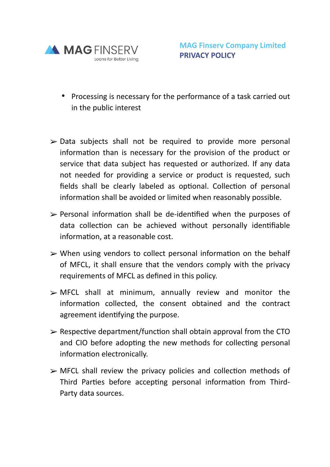

- Processing is necessary for the performance of a task carried out in the public interest
- $\triangleright$  Data subjects shall not be required to provide more personal information than is necessary for the provision of the product or service that data subject has requested or authorized. If any data not needed for providing a service or product is requested, such fields shall be clearly labeled as optional. Collection of personal information shall be avoided or limited when reasonably possible.
- $\triangleright$  Personal information shall be de-identified when the purposes of data collection can be achieved without personally identifiable information, at a reasonable cost.
- $\triangleright$  When using vendors to collect personal information on the behalf of MFCL, it shall ensure that the vendors comply with the privacy requirements of MFCL as defined in this policy.
- $\triangleright$  MFCL shall at minimum, annually review and monitor the information collected, the consent obtained and the contract agreement identifying the purpose.
- $\geq$  Respective department/function shall obtain approval from the CTO and CIO before adopting the new methods for collecting personal information electronically.
- $\triangleright$  MFCL shall review the privacy policies and collection methods of Third Parties before accepting personal information from Third-Party data sources.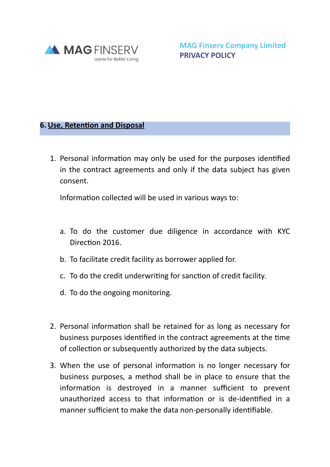

**MAG Finserv Company Limited PRIVACY POLICY**

#### **6. Use, Retention and Disposal**

1. Personal information may only be used for the purposes identified in the contract agreements and only if the data subject has given consent.

Information collected will be used in various ways to:

- a. To do the customer due diligence in accordance with KYC Direction 2016.
- b. To facilitate credit facility as borrower applied for.
- c. To do the credit underwriting for sanction of credit facility.
- d. To do the ongoing monitoring.
- 2. Personal information shall be retained for as long as necessary for business purposes identified in the contract agreements at the time of collection or subsequently authorized by the data subjects.
- 3. When the use of personal information is no longer necessary for business purposes, a method shall be in place to ensure that the information is destroyed in a manner sufficient to prevent unauthorized access to that information or is de-identified in a manner sufficient to make the data non-personally identifiable.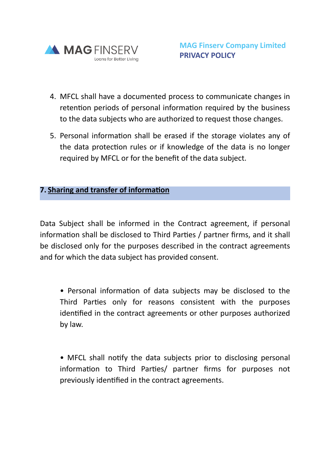

- 4. MFCL shall have a documented process to communicate changes in retention periods of personal information required by the business to the data subjects who are authorized to request those changes.
- 5. Personal information shall be erased if the storage violates any of the data protection rules or if knowledge of the data is no longer required by MFCL or for the benefit of the data subject.

#### **7. Sharing and transfer of information**

Data Subject shall be informed in the Contract agreement, if personal information shall be disclosed to Third Parties / partner firms, and it shall be disclosed only for the purposes described in the contract agreements and for which the data subject has provided consent.

• Personal information of data subjects may be disclosed to the Third Parties only for reasons consistent with the purposes identified in the contract agreements or other purposes authorized by law.

• MFCL shall notify the data subjects prior to disclosing personal information to Third Parties/ partner firms for purposes not previously identified in the contract agreements.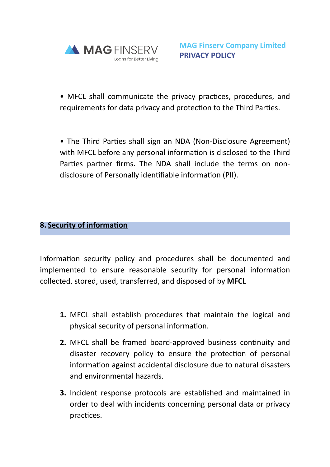

• MFCL shall communicate the privacy practices, procedures, and requirements for data privacy and protection to the Third Parties.

• The Third Parties shall sign an NDA (Non-Disclosure Agreement) with MFCL before any personal information is disclosed to the Third Parties partner firms. The NDA shall include the terms on nondisclosure of Personally identifiable information (PII).

### **8. Security of information**

Information security policy and procedures shall be documented and implemented to ensure reasonable security for personal information collected, stored, used, transferred, and disposed of by **MFCL**

- **1.** MFCL shall establish procedures that maintain the logical and physical security of personal information.
- **2.** MFCL shall be framed board-approved business continuity and disaster recovery policy to ensure the protection of personal information against accidental disclosure due to natural disasters and environmental hazards.
- **3.** Incident response protocols are established and maintained in order to deal with incidents concerning personal data or privacy practices.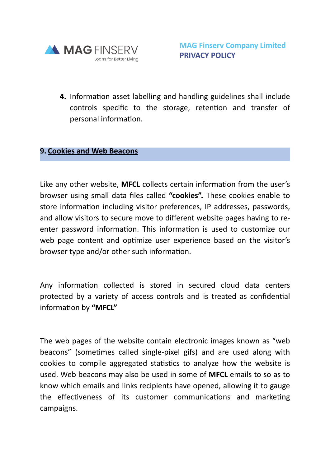

**4.** Information asset labelling and handling guidelines shall include controls specific to the storage, retention and transfer of personal information.

#### **9. Cookies and Web Beacons**

Like any other website, **MFCL** collects certain information from the user's browser using small data files called **"cookies".** These cookies enable to store information including visitor preferences, IP addresses, passwords, and allow visitors to secure move to different website pages having to reenter password information. This information is used to customize our web page content and optimize user experience based on the visitor's browser type and/or other such information.

Any information collected is stored in secured cloud data centers protected by a variety of access controls and is treated as confidential information by **"MFCL"**

The web pages of the website contain electronic images known as "web beacons" (sometimes called single-pixel gifs) and are used along with cookies to compile aggregated statistics to analyze how the website is used. Web beacons may also be used in some of **MFCL** emails to so as to know which emails and links recipients have opened, allowing it to gauge the effectiveness of its customer communications and marketing campaigns.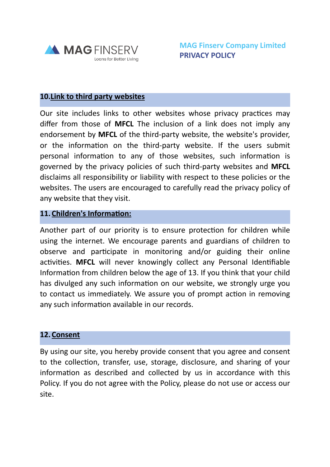

#### **10.Link to third party websites**

Our site includes links to other websites whose privacy practices may differ from those of **MFCL** The inclusion of a link does not imply any endorsement by **MFCL** of the third-party website, the website's provider, or the information on the third-party website. If the users submit personal information to any of those websites, such information is governed by the privacy policies of such third-party websites and **MFCL** disclaims all responsibility or liability with respect to these policies or the websites. The users are encouraged to carefully read the privacy policy of any website that they visit.

#### **11. Children's Information:**

Another part of our priority is to ensure protection for children while using the internet. We encourage parents and guardians of children to observe and participate in monitoring and/or guiding their online activities. **MFCL** will never knowingly collect any Personal Identifiable Information from children below the age of 13. If you think that your child has divulged any such information on our website, we strongly urge you to contact us immediately. We assure you of prompt action in removing any such information available in our records.

#### **12. Consent**

By using our site, you hereby provide consent that you agree and consent to the collection, transfer, use, storage, disclosure, and sharing of your information as described and collected by us in accordance with this Policy. If you do not agree with the Policy, please do not use or access our site.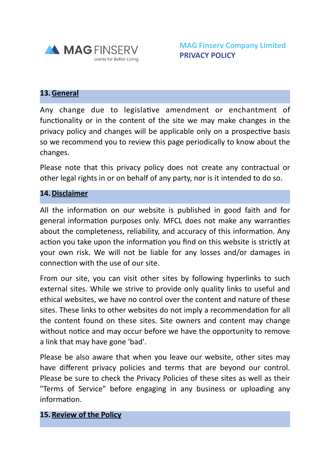

#### **13.General**

Any change due to legislative amendment or enchantment of functionality or in the content of the site we may make changes in the privacy policy and changes will be applicable only on a prospective basis so we recommend you to review this page periodically to know about the changes.

Please note that this privacy policy does not create any contractual or other legal rights in or on behalf of any party, nor is it intended to do so.

#### **14.Disclaimer**

All the information on our website is published in good faith and for general information purposes only. MFCL does not make any warranties about the completeness, reliability, and accuracy of this information. Any action you take upon the information you find on this website is strictly at your own risk. We will not be liable for any losses and/or damages in connection with the use of our site.

From our site, you can visit other sites by following hyperlinks to such external sites. While we strive to provide only quality links to useful and ethical websites, we have no control over the content and nature of these sites. These links to other websites do not imply a recommendation for all the content found on these sites. Site owners and content may change without notice and may occur before we have the opportunity to remove a link that may have gone 'bad'.

Please be also aware that when you leave our website, other sites may have different privacy policies and terms that are beyond our control. Please be sure to check the Privacy Policies of these sites as well as their "Terms of Service" before engaging in any business or uploading any information.

#### **15.Review of the Policy**